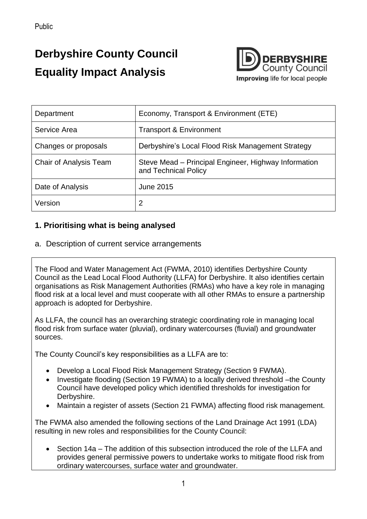# **Derbyshire County Council Equality Impact Analysis**



| Department                    | Economy, Transport & Environment (ETE)                                       |
|-------------------------------|------------------------------------------------------------------------------|
| Service Area                  | <b>Transport &amp; Environment</b>                                           |
| Changes or proposals          | Derbyshire's Local Flood Risk Management Strategy                            |
| <b>Chair of Analysis Team</b> | Steve Mead – Principal Engineer, Highway Information<br>and Technical Policy |
| Date of Analysis              | <b>June 2015</b>                                                             |
| Version                       | 2                                                                            |

#### **1. Prioritising what is being analysed**

a. Description of current service arrangements

The Flood and Water Management Act (FWMA, 2010) identifies Derbyshire County Council as the Lead Local Flood Authority (LLFA) for Derbyshire. It also identifies certain organisations as Risk Management Authorities (RMAs) who have a key role in managing flood risk at a local level and must cooperate with all other RMAs to ensure a partnership approach is adopted for Derbyshire.

As LLFA, the council has an overarching strategic coordinating role in managing local flood risk from surface water (pluvial), ordinary watercourses (fluvial) and groundwater sources.

The County Council's key responsibilities as a LLFA are to:

- Develop a Local Flood Risk Management Strategy (Section 9 FWMA).
- Investigate flooding (Section 19 FWMA) to a locally derived threshold –the County Council have developed policy which identified thresholds for investigation for Derbyshire.
- Maintain a register of assets (Section 21 FWMA) affecting flood risk management.

The FWMA also amended the following sections of the Land Drainage Act 1991 (LDA) resulting in new roles and responsibilities for the County Council:

 Section 14a – The addition of this subsection introduced the role of the LLFA and provides general permissive powers to undertake works to mitigate flood risk from ordinary watercourses, surface water and groundwater.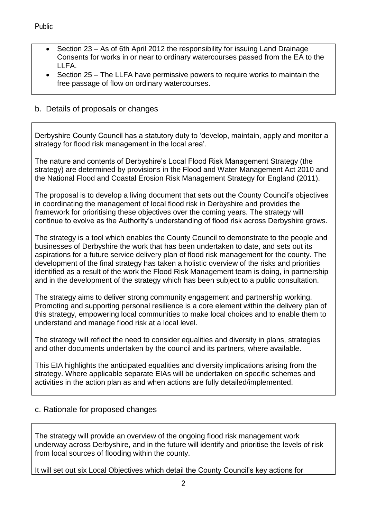- Section 23 As of 6th April 2012 the responsibility for issuing Land Drainage Consents for works in or near to ordinary watercourses passed from the EA to the LLFA.
- Section 25 The LLFA have permissive powers to require works to maintain the free passage of flow on ordinary watercourses.
- b. Details of proposals or changes

Derbyshire County Council has a statutory duty to 'develop, maintain, apply and monitor a strategy for flood risk management in the local area'.

The nature and contents of Derbyshire's Local Flood Risk Management Strategy (the strategy) are determined by provisions in the Flood and Water Management Act 2010 and the National Flood and Coastal Erosion Risk Management Strategy for England (2011).

The proposal is to develop a living document that sets out the County Council's objectives in coordinating the management of local flood risk in Derbyshire and provides the framework for prioritising these objectives over the coming years. The strategy will continue to evolve as the Authority's understanding of flood risk across Derbyshire grows.

The strategy is a tool which enables the County Council to demonstrate to the people and businesses of Derbyshire the work that has been undertaken to date, and sets out its aspirations for a future service delivery plan of flood risk management for the county. The development of the final strategy has taken a holistic overview of the risks and priorities identified as a result of the work the Flood Risk Management team is doing, in partnership and in the development of the strategy which has been subject to a public consultation.

The strategy aims to deliver strong community engagement and partnership working. Promoting and supporting personal resilience is a core element within the delivery plan of this strategy, empowering local communities to make local choices and to enable them to understand and manage flood risk at a local level.

The strategy will reflect the need to consider equalities and diversity in plans, strategies and other documents undertaken by the council and its partners, where available.

This EIA highlights the anticipated equalities and diversity implications arising from the strategy. Where applicable separate EIAs will be undertaken on specific schemes and activities in the action plan as and when actions are fully detailed/implemented.

c. Rationale for proposed changes

The strategy will provide an overview of the ongoing flood risk management work underway across Derbyshire, and in the future will identify and prioritise the levels of risk from local sources of flooding within the county.

It will set out six Local Objectives which detail the County Council's key actions for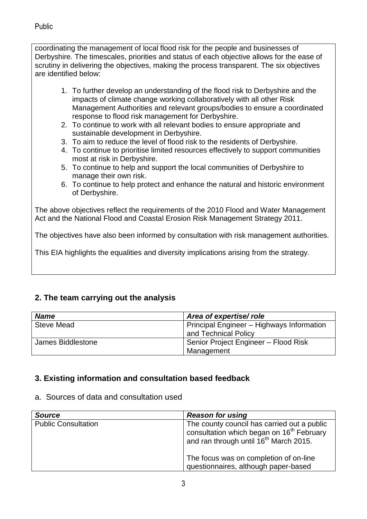coordinating the management of local flood risk for the people and businesses of Derbyshire. The timescales, priorities and status of each objective allows for the ease of scrutiny in delivering the objectives, making the process transparent. The six objectives are identified below:

- 1. To further develop an understanding of the flood risk to Derbyshire and the impacts of climate change working collaboratively with all other Risk Management Authorities and relevant groups/bodies to ensure a coordinated response to flood risk management for Derbyshire.
- 2. To continue to work with all relevant bodies to ensure appropriate and sustainable development in Derbyshire.
- 3. To aim to reduce the level of flood risk to the residents of Derbyshire.
- 4. To continue to prioritise limited resources effectively to support communities most at risk in Derbyshire.
- 5. To continue to help and support the local communities of Derbyshire to manage their own risk.
- 6. To continue to help protect and enhance the natural and historic environment of Derbyshire.

The above objectives reflect the requirements of the 2010 Flood and Water Management Act and the National Flood and Coastal Erosion Risk Management Strategy 2011.

The objectives have also been informed by consultation with risk management authorities.

This EIA highlights the equalities and diversity implications arising from the strategy.

## **2. The team carrying out the analysis**

| <b>Name</b>       | Area of expertise/role                    |
|-------------------|-------------------------------------------|
| <b>Steve Mead</b> | Principal Engineer - Highways Information |
|                   | and Technical Policy                      |
| James Biddlestone | Senior Project Engineer - Flood Risk      |
|                   | Management                                |

## **3. Existing information and consultation based feedback**

a. Sources of data and consultation used

| <b>Source</b>              | <b>Reason for using</b>                                                                                                                                    |
|----------------------------|------------------------------------------------------------------------------------------------------------------------------------------------------------|
| <b>Public Consultation</b> | The county council has carried out a public<br>consultation which began on 16 <sup>th</sup> February<br>and ran through until 16 <sup>th</sup> March 2015. |
|                            | The focus was on completion of on-line<br>questionnaires, although paper-based                                                                             |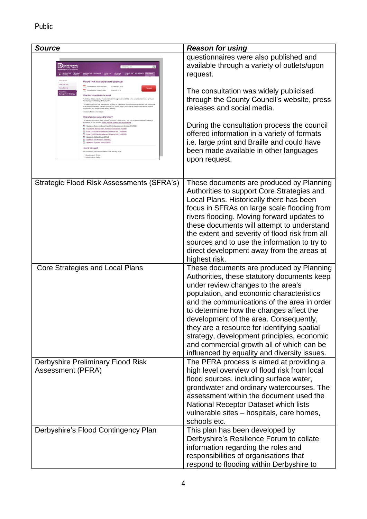| <b>Source</b>                                                                                                                                                                                                                                                                                                                                                                                                                                                                                                                                                                      | <b>Reason for using</b>                                                                                                                                                                                                                                                                                                                                                                                                                                                                                 |
|------------------------------------------------------------------------------------------------------------------------------------------------------------------------------------------------------------------------------------------------------------------------------------------------------------------------------------------------------------------------------------------------------------------------------------------------------------------------------------------------------------------------------------------------------------------------------------|---------------------------------------------------------------------------------------------------------------------------------------------------------------------------------------------------------------------------------------------------------------------------------------------------------------------------------------------------------------------------------------------------------------------------------------------------------------------------------------------------------|
| Flood risk management strategy<br>stab principa dolo<br>16 February 2015<br>etion closing date<br>16 March 2015<br>What this consultation is about<br>a full our duties under the Flood and Water Management Act (2010) varies<br>of Flood Risk Management Strategy for Derbyshire do<br>be atrategically managed. Its main purpose is to identify veys in which we can help to mini<br>form flooding and support those vito are affected.<br>This consultation is now closed.<br>What else do you need to know?<br>preents for the from the Adobe website (opens in a new window) | questionnaires were also published and<br>available through a variety of outlets/upon<br>request.<br>The consultation was widely publicised<br>through the County Council's website, press<br>releases and social media.                                                                                                                                                                                                                                                                                |
| nce Notes for Local Flood Risk Management, Nrategy (1147KB)<br>Elood Risk Management Strategy Consultation (175KB)<br>Local Flood Risk Management Strategy Part 1 (6490KB)<br>Local Flood Risk Management Strategy Part 2 (4481KB)<br>Appendix 1 Objectives (279KB)<br>Appendix 2 M.A.Report (1495463)<br>CD commits 3 cybent policy (20208)<br>How to take part<br>I/e are carrying out this consultation in the following ve<br>pedionnaire - Online<br>Combonner - Paper                                                                                                        | During the consultation process the council<br>offered information in a variety of formats<br>i.e. large print and Braille and could have<br>been made available in other languages<br>upon request.                                                                                                                                                                                                                                                                                                    |
| Strategic Flood Risk Assessments (SFRA's)                                                                                                                                                                                                                                                                                                                                                                                                                                                                                                                                          | These documents are produced by Planning<br>Authorities to support Core Strategies and<br>Local Plans. Historically there has been<br>focus in SFRAs on large scale flooding from<br>rivers flooding. Moving forward updates to<br>these documents will attempt to understand<br>the extent and severity of flood risk from all<br>sources and to use the information to try to<br>direct development away from the areas at<br>highest risk.                                                           |
| Core Strategies and Local Plans                                                                                                                                                                                                                                                                                                                                                                                                                                                                                                                                                    | These documents are produced by Planning<br>Authorities, these statutory documents keep<br>under review changes to the area's<br>population, and economic characteristics<br>and the communications of the area in order<br>to determine how the changes affect the<br>development of the area. Consequently,<br>they are a resource for identifying spatial<br>strategy, development principles, economic<br>and commercial growth all of which can be<br>influenced by equality and diversity issues. |
| Derbyshire Preliminary Flood Risk<br>Assessment (PFRA)                                                                                                                                                                                                                                                                                                                                                                                                                                                                                                                             | The PFRA process is aimed at providing a<br>high level overview of flood risk from local<br>flood sources, including surface water,<br>grondwater and ordinary watercourses. The<br>assessment within the document used the<br>National Receptor Dataset which lists<br>vulnerable sites – hospitals, care homes,<br>schools etc.                                                                                                                                                                       |
| Derbyshire's Flood Contingency Plan                                                                                                                                                                                                                                                                                                                                                                                                                                                                                                                                                | This plan has been developed by<br>Derbyshire's Resilience Forum to collate<br>information regarding the roles and<br>responsibilities of organisations that<br>respond to flooding within Derbyshire to                                                                                                                                                                                                                                                                                                |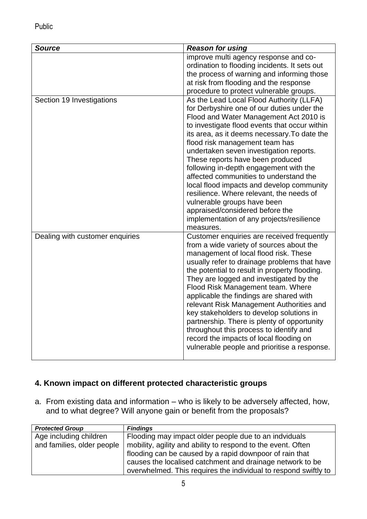| <b>Source</b>                   | <b>Reason for using</b>                                                                                                                                                                                                                                                                                                                                                                                                                                                                                                                                                                                                                        |
|---------------------------------|------------------------------------------------------------------------------------------------------------------------------------------------------------------------------------------------------------------------------------------------------------------------------------------------------------------------------------------------------------------------------------------------------------------------------------------------------------------------------------------------------------------------------------------------------------------------------------------------------------------------------------------------|
|                                 | improve multi agency response and co-<br>ordination to flooding incidents. It sets out                                                                                                                                                                                                                                                                                                                                                                                                                                                                                                                                                         |
|                                 | the process of warning and informing those                                                                                                                                                                                                                                                                                                                                                                                                                                                                                                                                                                                                     |
|                                 | at risk from flooding and the response                                                                                                                                                                                                                                                                                                                                                                                                                                                                                                                                                                                                         |
|                                 | procedure to protect vulnerable groups.                                                                                                                                                                                                                                                                                                                                                                                                                                                                                                                                                                                                        |
| Section 19 Investigations       | As the Lead Local Flood Authority (LLFA)<br>for Derbyshire one of our duties under the<br>Flood and Water Management Act 2010 is<br>to investigate flood events that occur within<br>its area, as it deems necessary. To date the<br>flood risk management team has<br>undertaken seven investigation reports.<br>These reports have been produced<br>following in-depth engagement with the<br>affected communities to understand the<br>local flood impacts and develop community<br>resilience. Where relevant, the needs of<br>vulnerable groups have been<br>appraised/considered before the<br>implementation of any projects/resilience |
|                                 | measures.                                                                                                                                                                                                                                                                                                                                                                                                                                                                                                                                                                                                                                      |
| Dealing with customer enquiries | Customer enquiries are received frequently<br>from a wide variety of sources about the<br>management of local flood risk. These<br>usually refer to drainage problems that have<br>the potential to result in property flooding.<br>They are logged and investigated by the<br>Flood Risk Management team. Where<br>applicable the findings are shared with<br>relevant Risk Management Authorities and<br>key stakeholders to develop solutions in<br>partnership. There is plenty of opportunity<br>throughout this process to identify and<br>record the impacts of local flooding on<br>vulnerable people and prioritise a response.       |

## **4. Known impact on different protected characteristic groups**

a. From existing data and information – who is likely to be adversely affected, how, and to what degree? Will anyone gain or benefit from the proposals?

| <b>Protected Group</b>     | <b>Findings</b>                                                 |
|----------------------------|-----------------------------------------------------------------|
| Age including children     | Flooding may impact older people due to an indviduals           |
| and families, older people | mobility, agility and ability to respond to the event. Often    |
|                            | flooding can be caused by a rapid downpoor of rain that         |
|                            | causes the localised catchment and drainage network to be       |
|                            | overwhelmed. This requires the individual to respond swiftly to |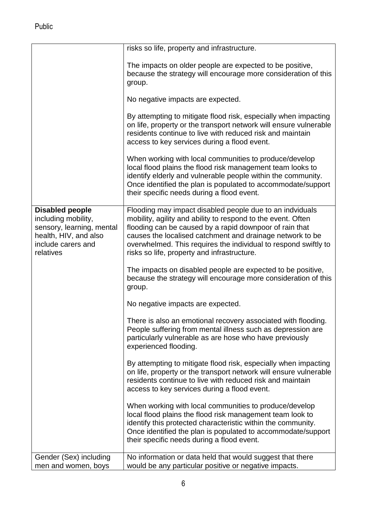|                                                                                                                                 | risks so life, property and infrastructure.                                                                                                                                                                                                                                                                                                                        |
|---------------------------------------------------------------------------------------------------------------------------------|--------------------------------------------------------------------------------------------------------------------------------------------------------------------------------------------------------------------------------------------------------------------------------------------------------------------------------------------------------------------|
|                                                                                                                                 | The impacts on older people are expected to be positive,<br>because the strategy will encourage more consideration of this<br>group.                                                                                                                                                                                                                               |
|                                                                                                                                 | No negative impacts are expected.                                                                                                                                                                                                                                                                                                                                  |
|                                                                                                                                 | By attempting to mitigate flood risk, especially when impacting<br>on life, property or the transport network will ensure vulnerable<br>residents continue to live with reduced risk and maintain<br>access to key services during a flood event.                                                                                                                  |
|                                                                                                                                 | When working with local communities to produce/develop<br>local flood plains the flood risk management team looks to<br>identify elderly and vulnerable people within the community.<br>Once identified the plan is populated to accommodate/support<br>their specific needs during a flood event.                                                                 |
| Disabled people<br>including mobility,<br>sensory, learning, mental<br>health, HIV, and also<br>include carers and<br>relatives | Flooding may impact disabled people due to an indviduals<br>mobility, agility and ability to respond to the event. Often<br>flooding can be caused by a rapid downpoor of rain that<br>causes the localised catchment and drainage network to be<br>overwhelmed. This requires the individual to respond swiftly to<br>risks so life, property and infrastructure. |
|                                                                                                                                 | The impacts on disabled people are expected to be positive,<br>because the strategy will encourage more consideration of this<br>group.                                                                                                                                                                                                                            |
|                                                                                                                                 | No negative impacts are expected.                                                                                                                                                                                                                                                                                                                                  |
|                                                                                                                                 | There is also an emotional recovery associated with flooding.<br>People suffering from mental illness such as depression are<br>particularly vulnerable as are hose who have previously<br>experienced flooding.                                                                                                                                                   |
|                                                                                                                                 | By attempting to mitigate flood risk, especially when impacting<br>on life, property or the transport network will ensure vulnerable<br>residents continue to live with reduced risk and maintain<br>access to key services during a flood event.                                                                                                                  |
|                                                                                                                                 | When working with local communities to produce/develop<br>local flood plains the flood risk management team look to<br>identify this protected characteristic within the community.<br>Once identified the plan is populated to accommodate/support<br>their specific needs during a flood event.                                                                  |
| Gender (Sex) including                                                                                                          | No information or data held that would suggest that there                                                                                                                                                                                                                                                                                                          |
| men and women, boys                                                                                                             | would be any particular positive or negative impacts.                                                                                                                                                                                                                                                                                                              |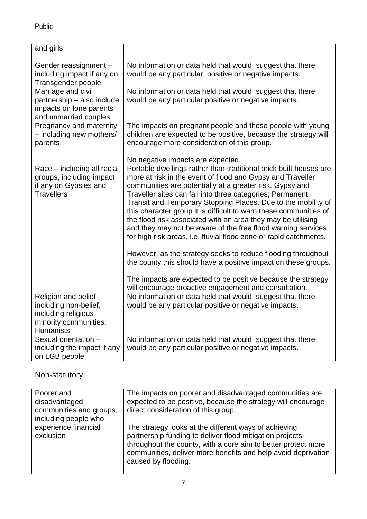| and girls                                                                                                        |                                                                                                                                                                                                                                                                                                                                                                                                                                                                                                                                                                                                                                                                                                                                                                                                                                                                 |
|------------------------------------------------------------------------------------------------------------------|-----------------------------------------------------------------------------------------------------------------------------------------------------------------------------------------------------------------------------------------------------------------------------------------------------------------------------------------------------------------------------------------------------------------------------------------------------------------------------------------------------------------------------------------------------------------------------------------------------------------------------------------------------------------------------------------------------------------------------------------------------------------------------------------------------------------------------------------------------------------|
| Gender reassignment -<br>including impact if any on<br>Transgender people                                        | No information or data held that would suggest that there<br>would be any particular positive or negative impacts.                                                                                                                                                                                                                                                                                                                                                                                                                                                                                                                                                                                                                                                                                                                                              |
| Marriage and civil<br>partnership - also include<br>impacts on lone parents<br>and unmarried couples             | No information or data held that would suggest that there<br>would be any particular positive or negative impacts.                                                                                                                                                                                                                                                                                                                                                                                                                                                                                                                                                                                                                                                                                                                                              |
| Pregnancy and maternity<br>- including new mothers/<br>parents                                                   | The impacts on pregnant people and those people with young<br>children are expected to be positive, because the strategy will<br>encourage more consideration of this group.                                                                                                                                                                                                                                                                                                                                                                                                                                                                                                                                                                                                                                                                                    |
|                                                                                                                  | No negative impacts are expected.                                                                                                                                                                                                                                                                                                                                                                                                                                                                                                                                                                                                                                                                                                                                                                                                                               |
| Race - including all racial<br>groups, including impact<br>if any on Gypsies and<br><b>Travellers</b>            | Portable dwellings rather than traditional brick built houses are<br>more at risk in the event of flood and Gypsy and Traveller<br>communities are potentially at a greater risk. Gypsy and<br>Traveller sites can fall into three categories; Permanent,<br>Transit and Temporary Stopping Places. Due to the mobility of<br>this character group it is difficult to warn these communities of<br>the flood risk associated with an area they may be utilising<br>and they may not be aware of the free flood warning services<br>for high risk areas, i.e. fluvial flood zone or rapid catchments.<br>However, as the strategy seeks to reduce flooding throughout<br>the county this should have a positive impact on these groups.<br>The impacts are expected to be positive because the strategy<br>will encourage proactive engagement and consultation. |
| Religion and belief<br>including non-belief,<br>including religious<br>minority communities,<br><b>Humanists</b> | No information or data held that would suggest that there<br>would be any particular positive or negative impacts.                                                                                                                                                                                                                                                                                                                                                                                                                                                                                                                                                                                                                                                                                                                                              |
| Sexual orientation -<br>including the impact if any<br>on LGB people                                             | No information or data held that would suggest that there<br>would be any particular positive or negative impacts.                                                                                                                                                                                                                                                                                                                                                                                                                                                                                                                                                                                                                                                                                                                                              |

## Non-statutory

| Poorer and                                                | The impacts on poorer and disadvantaged communities are                                                                                                                                                                                                                    |
|-----------------------------------------------------------|----------------------------------------------------------------------------------------------------------------------------------------------------------------------------------------------------------------------------------------------------------------------------|
| disadvantaged                                             | expected to be positive, because the strategy will encourage                                                                                                                                                                                                               |
| communities and groups,                                   | direct consideration of this group.                                                                                                                                                                                                                                        |
| including people who<br>experience financial<br>exclusion | The strategy looks at the different ways of achieving<br>partnership funding to deliver flood mitigation projects<br>throughout the county, with a core aim to better protect more<br>communities, deliver more benefits and help avoid deprivation<br>caused by flooding. |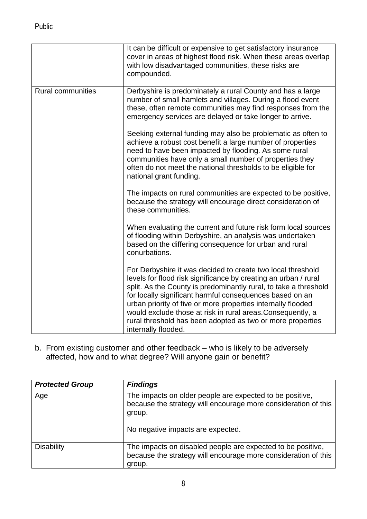|                          | It can be difficult or expensive to get satisfactory insurance<br>cover in areas of highest flood risk. When these areas overlap<br>with low disadvantaged communities, these risks are<br>compounded.                                                                                                                                                                                                                                                                             |
|--------------------------|------------------------------------------------------------------------------------------------------------------------------------------------------------------------------------------------------------------------------------------------------------------------------------------------------------------------------------------------------------------------------------------------------------------------------------------------------------------------------------|
| <b>Rural communities</b> | Derbyshire is predominately a rural County and has a large<br>number of small hamlets and villages. During a flood event<br>these, often remote communities may find responses from the<br>emergency services are delayed or take longer to arrive.                                                                                                                                                                                                                                |
|                          | Seeking external funding may also be problematic as often to<br>achieve a robust cost benefit a large number of properties<br>need to have been impacted by flooding. As some rural<br>communities have only a small number of properties they<br>often do not meet the national thresholds to be eligible for<br>national grant funding.                                                                                                                                          |
|                          | The impacts on rural communities are expected to be positive,<br>because the strategy will encourage direct consideration of<br>these communities.                                                                                                                                                                                                                                                                                                                                 |
|                          | When evaluating the current and future risk form local sources<br>of flooding within Derbyshire, an analysis was undertaken<br>based on the differing consequence for urban and rural<br>conurbations.                                                                                                                                                                                                                                                                             |
|                          | For Derbyshire it was decided to create two local threshold<br>levels for flood risk significance by creating an urban / rural<br>split. As the County is predominantly rural, to take a threshold<br>for locally significant harmful consequences based on an<br>urban priority of five or more properties internally flooded<br>would exclude those at risk in rural areas. Consequently, a<br>rural threshold has been adopted as two or more properties<br>internally flooded. |

b. From existing customer and other feedback – who is likely to be adversely affected, how and to what degree? Will anyone gain or benefit?

| <b>Protected Group</b> | <b>Findings</b>                                                                                                                                                           |
|------------------------|---------------------------------------------------------------------------------------------------------------------------------------------------------------------------|
| Age                    | The impacts on older people are expected to be positive,<br>because the strategy will encourage more consideration of this<br>group.<br>No negative impacts are expected. |
| <b>Disability</b>      | The impacts on disabled people are expected to be positive,<br>because the strategy will encourage more consideration of this<br>group.                                   |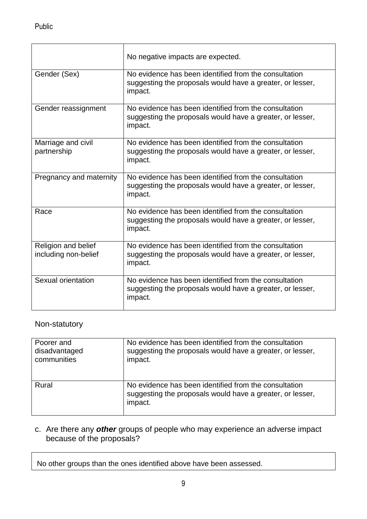|                                             | No negative impacts are expected.                                                                                             |
|---------------------------------------------|-------------------------------------------------------------------------------------------------------------------------------|
| Gender (Sex)                                | No evidence has been identified from the consultation<br>suggesting the proposals would have a greater, or lesser,<br>impact. |
| Gender reassignment                         | No evidence has been identified from the consultation<br>suggesting the proposals would have a greater, or lesser,<br>impact. |
| Marriage and civil<br>partnership           | No evidence has been identified from the consultation<br>suggesting the proposals would have a greater, or lesser,<br>impact. |
| Pregnancy and maternity                     | No evidence has been identified from the consultation<br>suggesting the proposals would have a greater, or lesser,<br>impact. |
| Race                                        | No evidence has been identified from the consultation<br>suggesting the proposals would have a greater, or lesser,<br>impact. |
| Religion and belief<br>including non-belief | No evidence has been identified from the consultation<br>suggesting the proposals would have a greater, or lesser,<br>impact. |
| Sexual orientation                          | No evidence has been identified from the consultation<br>suggesting the proposals would have a greater, or lesser,<br>impact. |

## Non-statutory

| Poorer and    | No evidence has been identified from the consultation                                                                         |
|---------------|-------------------------------------------------------------------------------------------------------------------------------|
| disadvantaged | suggesting the proposals would have a greater, or lesser,                                                                     |
| communities   | impact.                                                                                                                       |
| Rural         | No evidence has been identified from the consultation<br>suggesting the proposals would have a greater, or lesser,<br>impact. |

#### c. Are there any *other* groups of people who may experience an adverse impact because of the proposals?

No other groups than the ones identified above have been assessed.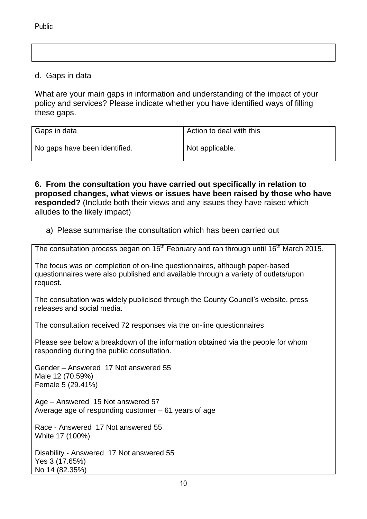#### d. Gaps in data

What are your main gaps in information and understanding of the impact of your policy and services? Please indicate whether you have identified ways of filling these gaps.

| Gaps in data                  | Action to deal with this |
|-------------------------------|--------------------------|
| No gaps have been identified. | Not applicable.          |

**6. From the consultation you have carried out specifically in relation to proposed changes, what views or issues have been raised by those who have responded?** (Include both their views and any issues they have raised which alludes to the likely impact)

a) Please summarise the consultation which has been carried out

The consultation process began on 16<sup>th</sup> February and ran through until 16<sup>th</sup> March 2015.

The focus was on completion of on-line questionnaires, although paper-based questionnaires were also published and available through a variety of outlets/upon request.

The consultation was widely publicised through the County Council's website, press releases and social media.

The consultation received 72 responses via the on-line questionnaires

Please see below a breakdown of the information obtained via the people for whom responding during the public consultation.

Gender – Answered 17 Not answered 55 Male 12 (70.59%) Female 5 (29.41%)

Age – Answered 15 Not answered 57 Average age of responding customer – 61 years of age

Race - Answered 17 Not answered 55 White 17 (100%)

Disability - Answered 17 Not answered 55 Yes 3 (17.65%) No 14 (82.35%)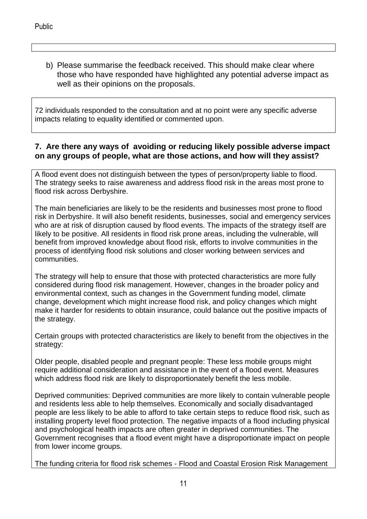b) Please summarise the feedback received. This should make clear where those who have responded have highlighted any potential adverse impact as well as their opinions on the proposals.

72 individuals responded to the consultation and at no point were any specific adverse impacts relating to equality identified or commented upon.

#### **7. Are there any ways of avoiding or reducing likely possible adverse impact on any groups of people, what are those actions, and how will they assist?**

A flood event does not distinguish between the types of person/property liable to flood. The strategy seeks to raise awareness and address flood risk in the areas most prone to flood risk across Derbyshire.

The main beneficiaries are likely to be the residents and businesses most prone to flood risk in Derbyshire. It will also benefit residents, businesses, social and emergency services who are at risk of disruption caused by flood events. The impacts of the strategy itself are likely to be positive. All residents in flood risk prone areas, including the vulnerable, will benefit from improved knowledge about flood risk, efforts to involve communities in the process of identifying flood risk solutions and closer working between services and communities.

The strategy will help to ensure that those with protected characteristics are more fully considered during flood risk management. However, changes in the broader policy and environmental context, such as changes in the Government funding model, climate change, development which might increase flood risk, and policy changes which might make it harder for residents to obtain insurance, could balance out the positive impacts of the strategy.

Certain groups with protected characteristics are likely to benefit from the objectives in the strategy:

Older people, disabled people and pregnant people: These less mobile groups might require additional consideration and assistance in the event of a flood event. Measures which address flood risk are likely to disproportionately benefit the less mobile.

Deprived communities: Deprived communities are more likely to contain vulnerable people and residents less able to help themselves. Economically and socially disadvantaged people are less likely to be able to afford to take certain steps to reduce flood risk, such as installing property level flood protection. The negative impacts of a flood including physical and psychological health impacts are often greater in deprived communities. The Government recognises that a flood event might have a disproportionate impact on people from lower income groups.

The funding criteria for flood risk schemes - Flood and Coastal Erosion Risk Management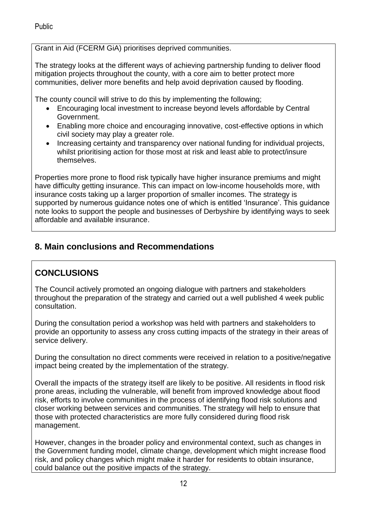Grant in Aid (FCERM GiA) prioritises deprived communities.

The strategy looks at the different ways of achieving partnership funding to deliver flood mitigation projects throughout the county, with a core aim to better protect more communities, deliver more benefits and help avoid deprivation caused by flooding.

The county council will strive to do this by implementing the following;

- Encouraging local investment to increase beyond levels affordable by Central Government.
- Enabling more choice and encouraging innovative, cost-effective options in which civil society may play a greater role.
- Increasing certainty and transparency over national funding for individual projects, whilst prioritising action for those most at risk and least able to protect/insure themselves.

Properties more prone to flood risk typically have higher insurance premiums and might have difficulty getting insurance. This can impact on low-income households more, with insurance costs taking up a larger proportion of smaller incomes. The strategy is supported by numerous guidance notes one of which is entitled 'Insurance'. This guidance note looks to support the people and businesses of Derbyshire by identifying ways to seek affordable and available insurance.

# **8. Main conclusions and Recommendations**

# **CONCLUSIONS**

The Council actively promoted an ongoing dialogue with partners and stakeholders throughout the preparation of the strategy and carried out a well published 4 week public consultation.

During the consultation period a workshop was held with partners and stakeholders to provide an opportunity to assess any cross cutting impacts of the strategy in their areas of service delivery.

During the consultation no direct comments were received in relation to a positive/negative impact being created by the implementation of the strategy.

Overall the impacts of the strategy itself are likely to be positive. All residents in flood risk prone areas, including the vulnerable, will benefit from improved knowledge about flood risk, efforts to involve communities in the process of identifying flood risk solutions and closer working between services and communities. The strategy will help to ensure that those with protected characteristics are more fully considered during flood risk management.

However, changes in the broader policy and environmental context, such as changes in the Government funding model, climate change, development which might increase flood risk, and policy changes which might make it harder for residents to obtain insurance, could balance out the positive impacts of the strategy.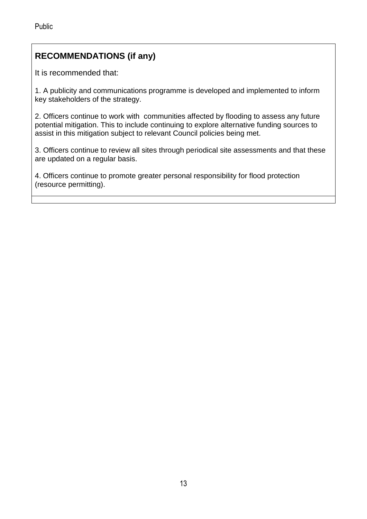# **RECOMMENDATIONS (if any)**

It is recommended that:

1. A publicity and communications programme is developed and implemented to inform key stakeholders of the strategy.

2. Officers continue to work with communities affected by flooding to assess any future potential mitigation. This to include continuing to explore alternative funding sources to assist in this mitigation subject to relevant Council policies being met.

3. Officers continue to review all sites through periodical site assessments and that these are updated on a regular basis.

4. Officers continue to promote greater personal responsibility for flood protection (resource permitting).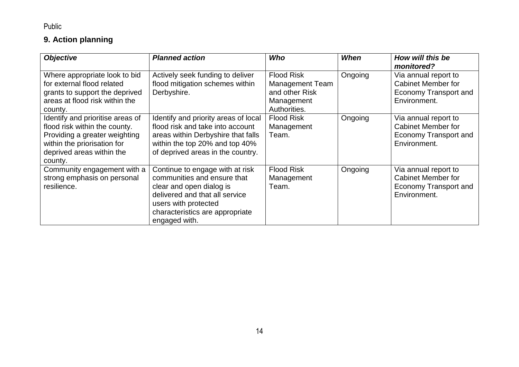# **9. Action planning**

| <b>Objective</b>                                                                                                                                                          | <b>Planned action</b>                                                                                                                                                                                    | Who                                                                                         | When    | How will this be<br>monitored?                                                                    |
|---------------------------------------------------------------------------------------------------------------------------------------------------------------------------|----------------------------------------------------------------------------------------------------------------------------------------------------------------------------------------------------------|---------------------------------------------------------------------------------------------|---------|---------------------------------------------------------------------------------------------------|
| Where appropriate look to bid<br>for external flood related<br>grants to support the deprived<br>areas at flood risk within the<br>county.                                | Actively seek funding to deliver<br>flood mitigation schemes within<br>Derbyshire.                                                                                                                       | <b>Flood Risk</b><br><b>Management Team</b><br>and other Risk<br>Management<br>Authorities. | Ongoing | Via annual report to<br><b>Cabinet Member for</b><br><b>Economy Transport and</b><br>Environment. |
| Identify and prioritise areas of<br>flood risk within the county.<br>Providing a greater weighting<br>within the priorisation for<br>deprived areas within the<br>county. | Identify and priority areas of local<br>flood risk and take into account<br>areas within Derbyshire that falls<br>within the top 20% and top 40%<br>of deprived areas in the country.                    | <b>Flood Risk</b><br>Management<br>Team.                                                    | Ongoing | Via annual report to<br><b>Cabinet Member for</b><br><b>Economy Transport and</b><br>Environment. |
| Community engagement with a<br>strong emphasis on personal<br>resilience.                                                                                                 | Continue to engage with at risk<br>communities and ensure that<br>clear and open dialog is<br>delivered and that all service<br>users with protected<br>characteristics are appropriate<br>engaged with. | <b>Flood Risk</b><br>Management<br>Team.                                                    | Ongoing | Via annual report to<br><b>Cabinet Member for</b><br><b>Economy Transport and</b><br>Environment. |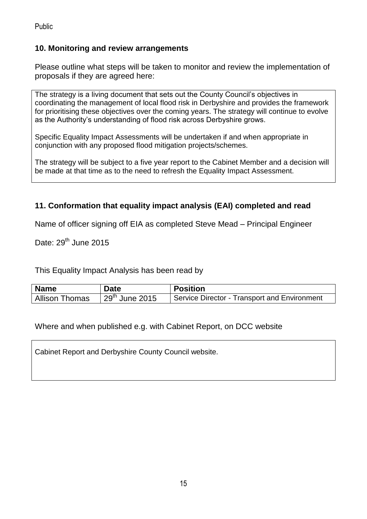#### **10. Monitoring and review arrangements**

Please outline what steps will be taken to monitor and review the implementation of proposals if they are agreed here:

The strategy is a living document that sets out the County Council's objectives in coordinating the management of local flood risk in Derbyshire and provides the framework for prioritising these objectives over the coming years. The strategy will continue to evolve as the Authority's understanding of flood risk across Derbyshire grows.

Specific Equality Impact Assessments will be undertaken if and when appropriate in conjunction with any proposed flood mitigation projects/schemes.

The strategy will be subject to a five year report to the Cabinet Member and a decision will be made at that time as to the need to refresh the Equality Impact Assessment.

## **11. Conformation that equality impact analysis (EAI) completed and read**

Name of officer signing off EIA as completed Steve Mead – Principal Engineer

Date:  $29<sup>th</sup>$  June 2015

This Equality Impact Analysis has been read by

| <b>Name</b>           | Date             | <b>Position</b>                              |
|-----------------------|------------------|----------------------------------------------|
| <b>Allison Thomas</b> | $29th$ June 2015 | Service Director - Transport and Environment |

Where and when published e.g. with Cabinet Report, on DCC website

Cabinet Report and Derbyshire County Council website.